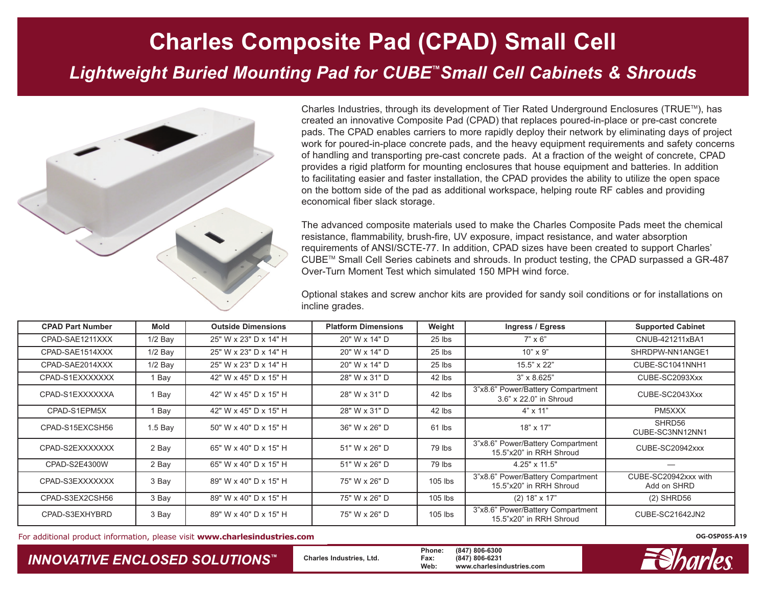## **Charles Composite Pad (CPAD) Small Cell** *Lightweight Buried Mounting Pad for CUBE ™Small Cell Cabinets & Shrouds*



Charles Industries, through its development of Tier Rated Underground Enclosures (TRUE<sup>™</sup>), has created an innovative Composite Pad (CPAD) that replaces poured-in-place or pre-cast concrete pads. The CPAD enables carriers to more rapidly deploy their network by eliminating days of project work for poured-in-place concrete pads, and the heavy equipment requirements and safety concerns of handling and transporting pre-cast concrete pads. At a fraction of the weight of concrete, CPAD provides a rigid platform for mounting enclosures that house equipment and batteries. In addition to facilitating easier and faster installation, the CPAD provides the ability to utilize the open space on the bottom side of the pad as additional workspace, helping route RF cables and providing economical fiber slack storage.

The advanced composite materials used to make the Charles Composite Pads meet the chemical resistance, flammability, brush-fire, UV exposure, impact resistance, and water absorption requirements of ANSI/SCTE-77. In addition, CPAD sizes have been created to support Charles' CUBE<sup>™</sup> Small Cell Series cabinets and shrouds. In product testing, the CPAD surpassed a GR-487 Over-Turn Moment Test which simulated 150 MPH wind force.

Optional stakes and screw anchor kits are provided for sandy soil conditions or for installations on incline grades.

| <b>CPAD Part Number</b> | <b>Mold</b> | <b>Outside Dimensions</b> | <b>Platform Dimensions</b> | Weight    | Ingress / Egress                                             | <b>Supported Cabinet</b>            |
|-------------------------|-------------|---------------------------|----------------------------|-----------|--------------------------------------------------------------|-------------------------------------|
| CPAD-SAE1211XXX         | $1/2$ Bay   | 25" W x 23" D x 14" H     | 20" W x 14" D              | 25 lbs    | $7" \times 6"$                                               | CNUB-421211xBA1                     |
| CPAD-SAE1514XXX         | $1/2$ Bay   | 25" W x 23" D x 14" H     | 20" W x 14" D              | 25 lbs    | $10" \times 9"$                                              | SHRDPW-NN1ANGE1                     |
| CPAD-SAE2014XXX         | $1/2$ Bay   | 25" W x 23" D x 14" H     | 20" W x 14" D              | 25 lbs    | 15.5" x 22"                                                  | CUBE-SC1041NNH1                     |
| CPAD-S1EXXXXXXX         | 1 Bay       | 42" W x 45" D x 15" H     | 28" W x 31" D              | 42 lbs    | $3" \times 8.625"$                                           | CUBE-SC2093Xxx                      |
| CPAD-S1EXXXXXXA         | 1 Bay       | 42" W x 45" D x 15" H     | 28" W x 31" D              | 42 lbs    | 3"x8.6" Power/Battery Compartment<br>3.6" x 22.0" in Shroud  | CUBE-SC2043Xxx                      |
| CPAD-S1EPM5X            | 1 Bay       | 42" W x 45" D x 15" H     | 28" W x 31" D              | 42 lbs    | $4" \times 11"$                                              | PM5XXX                              |
| CPAD-S15EXCSH56         | 1.5 Bav     | 50" W x 40" D x 15" H     | 36" W x 26" D              | 61 lbs    | $18" \times 17"$                                             | SHRD56<br>CUBE-SC3NN12NN1           |
| CPAD-S2EXXXXXXX         | 2 Bay       | 65" W x 40" D x 15" H     | 51" W x 26" D              | 79 lbs    | 3"x8.6" Power/Battery Compartment<br>15.5"x20" in RRH Shroud | CUBE-SC20942xxx                     |
| CPAD-S2E4300W           | 2 Bay       | 65" W x 40" D x 15" H     | 51" W x 26" D              | 79 lbs    | 4.25" x 11.5"                                                |                                     |
| CPAD-S3EXXXXXXX         | 3 Bay       | 89" W x 40" D x 15" H     | 75" W x 26" D              | $105$ lbs | 3"x8.6" Power/Battery Compartment<br>15.5"x20" in RRH Shroud | CUBE-SC20942xxx with<br>Add on SHRD |
| CPAD-S3EX2CSH56         | 3 Bay       | 89" W x 40" D x 15" H     | 75" W x 26" D              | $105$ lbs | $(2)$ 18" x 17"                                              | $(2)$ SHRD56                        |
| CPAD-S3EXHYBRD          | 3 Bay       | 89" W x 40" D x 15" H     | 75" W x 26" D              | $105$ lbs | 3"x8.6" Power/Battery Compartment<br>15.5"x20" in RRH Shroud | CUBE-SC21642JN2                     |

For additional product information, please visit **www.charlesindustries.com CG-OSP055-A19 OG-OSP055-A19 OG-OSP055-A19** 

*INNOVATIVE ENCLOSED SOLUTIONS ™*

**Charles Industries, Ltd.**

**Phone: (847) 806-6300 Fax: (847) 806-6231 Web: www.charlesindustries.com**

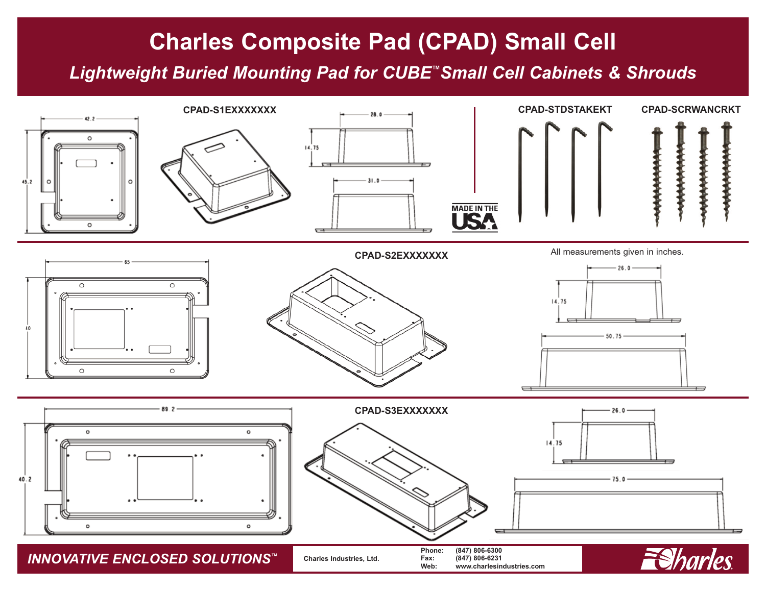## **Charles Composite Pad (CPAD) Small Cell**

*Lightweight Buried Mounting Pad for CUBE™Small Cell Cabinets & Shrouds*